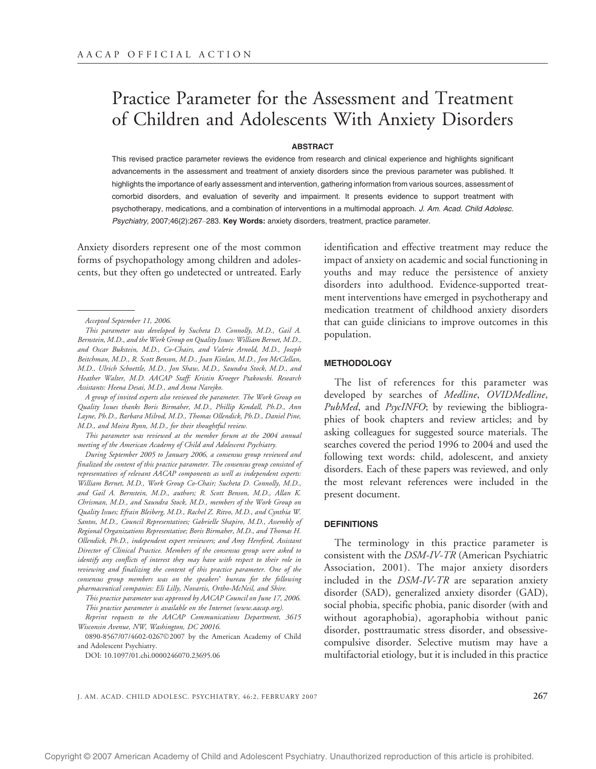# Practice Parameter for the Assessment and Treatment of Children and Adolescents With Anxiety Disorders

## **ABSTRACT**

This revised practice parameter reviews the evidence from research and clinical experience and highlights significant advancements in the assessment and treatment of anxiety disorders since the previous parameter was published. It highlights the importance of early assessment and intervention, gathering information from various sources, assessment of comorbid disorders, and evaluation of severity and impairment. It presents evidence to support treatment with psychotherapy, medications, and a combination of interventions in a multimodal approach. J. Am. Acad. Child Adolesc. Psychiatry, 2007;46(2):267-283. Key Words: anxiety disorders, treatment, practice parameter.

Anxiety disorders represent one of the most common forms of psychopathology among children and adolescents, but they often go undetected or untreated. Early

A group of invited experts also reviewed the parameter. The Work Group on Quality Issues thanks Boris Birmaher, M.D., Phillip Kendall, Ph.D., Ann Layne, Ph.D., Barbara Milrod, M.D., Thomas Ollendick, Ph.D., Daniel Pine, M.D., and Moira Rynn, M.D., for their thoughtful review.

This parameter was reviewed at the member forum at the 2004 annual meeting of the American Academy of Child and Adolescent Psychiatry.

During September 2005 to January 2006, a consensus group reviewed and finalized the content of this practice parameter. The consensus group consisted of representatives of relevant AACAP components as well as independent experts: William Bernet, M.D., Work Group Co-Chair; Sucheta D. Connolly, M.D., and Gail A. Bernstein, M.D., authors; R. Scott Benson, M.D., Allan K. Chrisman, M.D., and Saundra Stock, M.D., members of the Work Group on Quality Issues; Efrain Bleiberg, M.D., Rachel Z. Ritvo, M.D., and Cynthia W. Santos, M.D., Council Representatives; Gabrielle Shapiro, M.D., Assembly of Regional Organizations Representative; Boris Birmaher, M.D., and Thomas H. Ollendick, Ph.D., independent expert reviewers; and Amy Hereford, Assistant Director of Clinical Practice. Members of the consensus group were asked to identify any conflicts of interest they may have with respect to their role in reviewing and finalizing the content of this practice parameter. One of the consensus group members was on the speakers' bureau for the following pharmaceutical companies: Eli Lilly, Novartis, Ortho-McNeil, and Shire.

This practice parameter was approved by AACAP Council on June 17, 2006. This practice parameter is available on the Internet (www.aacap.org).

Reprint requests to the AACAP Communications Department, 3615 Wisconsin Avenue, NW, Washington, DC 20016.

0890-8567/07/4602-02672007 by the American Academy of Child and Adolescent Psychiatry.

DOI: 10.1097/01.chi.0000246070.23695.06

identification and effective treatment may reduce the impact of anxiety on academic and social functioning in youths and may reduce the persistence of anxiety disorders into adulthood. Evidence-supported treatment interventions have emerged in psychotherapy and medication treatment of childhood anxiety disorders that can guide clinicians to improve outcomes in this population.

### **METHODOLOGY**

The list of references for this parameter was developed by searches of Medline, OVIDMedline, PubMed, and PsycINFO; by reviewing the bibliographies of book chapters and review articles; and by asking colleagues for suggested source materials. The searches covered the period 1996 to 2004 and used the following text words: child, adolescent, and anxiety disorders. Each of these papers was reviewed, and only the most relevant references were included in the present document.

## **DEFINITIONS**

The terminology in this practice parameter is consistent with the DSM-IV-TR (American Psychiatric Association, 2001). The major anxiety disorders included in the DSM-IV-TR are separation anxiety disorder (SAD), generalized anxiety disorder (GAD), social phobia, specific phobia, panic disorder (with and without agoraphobia), agoraphobia without panic disorder, posttraumatic stress disorder, and obsessivecompulsive disorder. Selective mutism may have a multifactorial etiology, but it is included in this practice

J. AM. ACAD. CHILD ADOLESC. PSYCHIATRY, 46:2, FEBRUARY 2007 267

Accepted September 11, 2006.

This parameter was developed by Sucheta D. Connolly, M.D., Gail A. Bernstein, M.D., and the Work Group on Quality Issues: William Bernet, M.D., and Oscar Bukstein, M.D., Co-Chairs, and Valerie Arnold, M.D., Joseph Beitchman, M.D., R. Scott Benson, M.D., Joan Kinlan, M.D., Jon McClellan, M.D., Ulrich Schoettle, M.D., Jon Shaw, M.D., Saundra Stock, M.D., and Heather Walter, M.D. AACAP Staff: Kristin Kroeger Ptakowski. Research Assistants: Heena Desai, M.D., and Anna Narejko.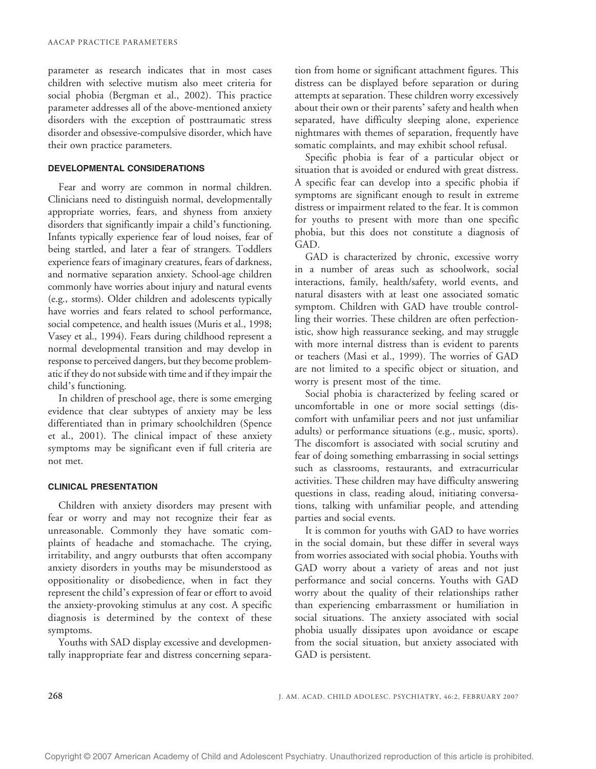parameter as research indicates that in most cases children with selective mutism also meet criteria for social phobia (Bergman et al., 2002). This practice parameter addresses all of the above-mentioned anxiety disorders with the exception of posttraumatic stress disorder and obsessive-compulsive disorder, which have their own practice parameters.

## DEVELOPMENTAL CONSIDERATIONS

Fear and worry are common in normal children. Clinicians need to distinguish normal, developmentally appropriate worries, fears, and shyness from anxiety disorders that significantly impair a child's functioning. Infants typically experience fear of loud noises, fear of being startled, and later a fear of strangers. Toddlers experience fears of imaginary creatures, fears of darkness, and normative separation anxiety. School-age children commonly have worries about injury and natural events (e.g., storms). Older children and adolescents typically have worries and fears related to school performance, social competence, and health issues (Muris et al., 1998; Vasey et al., 1994). Fears during childhood represent a normal developmental transition and may develop in response to perceived dangers, but they become problematic if they do not subside with time and if they impair the child's functioning.

In children of preschool age, there is some emerging evidence that clear subtypes of anxiety may be less differentiated than in primary schoolchildren (Spence et al., 2001). The clinical impact of these anxiety symptoms may be significant even if full criteria are not met.

#### CLINICAL PRESENTATION

Children with anxiety disorders may present with fear or worry and may not recognize their fear as unreasonable. Commonly they have somatic complaints of headache and stomachache. The crying, irritability, and angry outbursts that often accompany anxiety disorders in youths may be misunderstood as oppositionality or disobedience, when in fact they represent the child's expression of fear or effort to avoid the anxiety-provoking stimulus at any cost. A specific diagnosis is determined by the context of these symptoms.

Youths with SAD display excessive and developmentally inappropriate fear and distress concerning separation from home or significant attachment figures. This distress can be displayed before separation or during attempts at separation. These children worry excessively about their own or their parents' safety and health when separated, have difficulty sleeping alone, experience nightmares with themes of separation, frequently have somatic complaints, and may exhibit school refusal.

Specific phobia is fear of a particular object or situation that is avoided or endured with great distress. A specific fear can develop into a specific phobia if symptoms are significant enough to result in extreme distress or impairment related to the fear. It is common for youths to present with more than one specific phobia, but this does not constitute a diagnosis of GAD.

GAD is characterized by chronic, excessive worry in a number of areas such as schoolwork, social interactions, family, health/safety, world events, and natural disasters with at least one associated somatic symptom. Children with GAD have trouble controlling their worries. These children are often perfectionistic, show high reassurance seeking, and may struggle with more internal distress than is evident to parents or teachers (Masi et al., 1999). The worries of GAD are not limited to a specific object or situation, and worry is present most of the time.

Social phobia is characterized by feeling scared or uncomfortable in one or more social settings (discomfort with unfamiliar peers and not just unfamiliar adults) or performance situations (e.g., music, sports). The discomfort is associated with social scrutiny and fear of doing something embarrassing in social settings such as classrooms, restaurants, and extracurricular activities. These children may have difficulty answering questions in class, reading aloud, initiating conversations, talking with unfamiliar people, and attending parties and social events.

It is common for youths with GAD to have worries in the social domain, but these differ in several ways from worries associated with social phobia. Youths with GAD worry about a variety of areas and not just performance and social concerns. Youths with GAD worry about the quality of their relationships rather than experiencing embarrassment or humiliation in social situations. The anxiety associated with social phobia usually dissipates upon avoidance or escape from the social situation, but anxiety associated with GAD is persistent.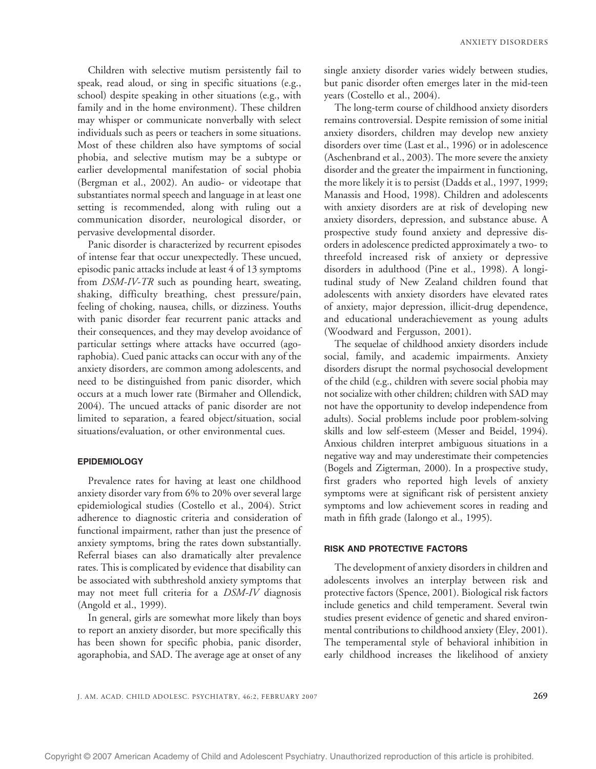Children with selective mutism persistently fail to speak, read aloud, or sing in specific situations (e.g., school) despite speaking in other situations (e.g., with family and in the home environment). These children may whisper or communicate nonverbally with select individuals such as peers or teachers in some situations. Most of these children also have symptoms of social phobia, and selective mutism may be a subtype or earlier developmental manifestation of social phobia (Bergman et al., 2002). An audio- or videotape that substantiates normal speech and language in at least one setting is recommended, along with ruling out a communication disorder, neurological disorder, or pervasive developmental disorder.

Panic disorder is characterized by recurrent episodes of intense fear that occur unexpectedly. These uncued, episodic panic attacks include at least 4 of 13 symptoms from DSM-IV-TR such as pounding heart, sweating, shaking, difficulty breathing, chest pressure/pain, feeling of choking, nausea, chills, or dizziness. Youths with panic disorder fear recurrent panic attacks and their consequences, and they may develop avoidance of particular settings where attacks have occurred (agoraphobia). Cued panic attacks can occur with any of the anxiety disorders, are common among adolescents, and need to be distinguished from panic disorder, which occurs at a much lower rate (Birmaher and Ollendick, 2004). The uncued attacks of panic disorder are not limited to separation, a feared object/situation, social situations/evaluation, or other environmental cues.

#### EPIDEMIOLOGY

Prevalence rates for having at least one childhood anxiety disorder vary from 6% to 20% over several large epidemiological studies (Costello et al., 2004). Strict adherence to diagnostic criteria and consideration of functional impairment, rather than just the presence of anxiety symptoms, bring the rates down substantially. Referral biases can also dramatically alter prevalence rates. This is complicated by evidence that disability can be associated with subthreshold anxiety symptoms that may not meet full criteria for a DSM-IV diagnosis (Angold et al., 1999).

In general, girls are somewhat more likely than boys to report an anxiety disorder, but more specifically this has been shown for specific phobia, panic disorder, agoraphobia, and SAD. The average age at onset of any single anxiety disorder varies widely between studies, but panic disorder often emerges later in the mid-teen years (Costello et al., 2004).

The long-term course of childhood anxiety disorders remains controversial. Despite remission of some initial anxiety disorders, children may develop new anxiety disorders over time (Last et al., 1996) or in adolescence (Aschenbrand et al., 2003). The more severe the anxiety disorder and the greater the impairment in functioning, the more likely it is to persist (Dadds et al., 1997, 1999; Manassis and Hood, 1998). Children and adolescents with anxiety disorders are at risk of developing new anxiety disorders, depression, and substance abuse. A prospective study found anxiety and depressive disorders in adolescence predicted approximately a two- to threefold increased risk of anxiety or depressive disorders in adulthood (Pine et al., 1998). A longitudinal study of New Zealand children found that adolescents with anxiety disorders have elevated rates of anxiety, major depression, illicit-drug dependence, and educational underachievement as young adults (Woodward and Fergusson, 2001).

The sequelae of childhood anxiety disorders include social, family, and academic impairments. Anxiety disorders disrupt the normal psychosocial development of the child (e.g., children with severe social phobia may not socialize with other children; children with SAD may not have the opportunity to develop independence from adults). Social problems include poor problem-solving skills and low self-esteem (Messer and Beidel, 1994). Anxious children interpret ambiguous situations in a negative way and may underestimate their competencies (Bogels and Zigterman, 2000). In a prospective study, first graders who reported high levels of anxiety symptoms were at significant risk of persistent anxiety symptoms and low achievement scores in reading and math in fifth grade (Ialongo et al., 1995).

## RISK AND PROTECTIVE FACTORS

The development of anxiety disorders in children and adolescents involves an interplay between risk and protective factors (Spence, 2001). Biological risk factors include genetics and child temperament. Several twin studies present evidence of genetic and shared environmental contributions to childhood anxiety (Eley, 2001). The temperamental style of behavioral inhibition in early childhood increases the likelihood of anxiety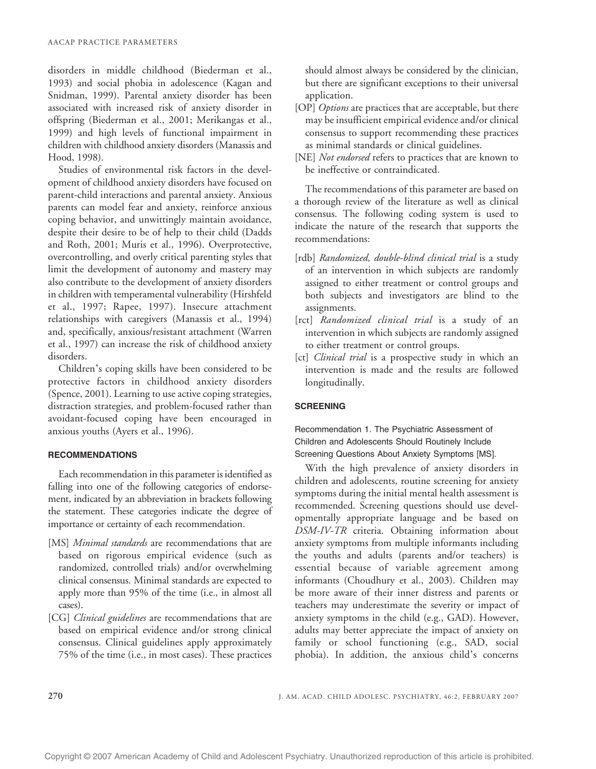disorders in middle childhood (Biederman et al., 1993) and social phobia in adolescence (Kagan and Snidman, 1999). Parental anxiety disorder has been associated with increased risk of anxiety disorder in offspring (Biederman et al., 2001; Merikangas et al., 1999) and high levels of functional impairment in children with childhood anxiety disorders (Manassis and Hood, 1998).

Studies of environmental risk factors in the development of childhood anxiety disorders have focused on parent-child interactions and parental anxiety. Anxious parents can model fear and anxiety, reinforce anxious coping behavior, and unwittingly maintain avoidance, despite their desire to be of help to their child (Dadds and Roth, 2001; Muris et al., 1996). Overprotective, overcontrolling, and overly critical parenting styles that limit the development of autonomy and mastery may also contribute to the development of anxiety disorders in children with temperamental vulnerability (Hirshfeld et al., 1997; Rapee, 1997). Insecure attachment relationships with caregivers (Manassis et al., 1994) and, specifically, anxious/resistant attachment (Warren et al., 1997) can increase the risk of childhood anxiety disorders.

Children's coping skills have been considered to be protective factors in childhood anxiety disorders (Spence, 2001). Learning to use active coping strategies, distraction strategies, and problem-focused rather than avoidant-focused coping have been encouraged in anxious youths (Ayers et al., 1996).

## **RECOMMENDATIONS**

Each recommendation in this parameter is identified as falling into one of the following categories of endorsement, indicated by an abbreviation in brackets following the statement. These categories indicate the degree of importance or certainty of each recommendation.

- [MS] Minimal standards are recommendations that are based on rigorous empirical evidence (such as randomized, controlled trials) and/or overwhelming clinical consensus. Minimal standards are expected to apply more than 95% of the time (i.e., in almost all cases).
- [CG] *Clinical guidelines* are recommendations that are based on empirical evidence and/or strong clinical consensus. Clinical guidelines apply approximately 75% of the time (i.e., in most cases). These practices

should almost always be considered by the clinician, but there are significant exceptions to their universal application.

- [OP] *Options* are practices that are acceptable, but there may be insufficient empirical evidence and/or clinical consensus to support recommending these practices as minimal standards or clinical guidelines.
- [NE] Not endorsed refers to practices that are known to be ineffective or contraindicated.

The recommendations of this parameter are based on a thorough review of the literature as well as clinical consensus. The following coding system is used to indicate the nature of the research that supports the recommendations:

- [rdb] Randomized, double-blind clinical trial is a study of an intervention in which subjects are randomly assigned to either treatment or control groups and both subjects and investigators are blind to the assignments.
- [rct] Randomized clinical trial is a study of an intervention in which subjects are randomly assigned to either treatment or control groups.
- [ct] *Clinical trial* is a prospective study in which an intervention is made and the results are followed longitudinally.

## **SCREENING**

Recommendation 1. The Psychiatric Assessment of Children and Adolescents Should Routinely Include Screening Questions About Anxiety Symptoms [MS].

With the high prevalence of anxiety disorders in children and adolescents, routine screening for anxiety symptoms during the initial mental health assessment is recommended. Screening questions should use developmentally appropriate language and be based on DSM-IV-TR criteria. Obtaining information about anxiety symptoms from multiple informants including the youths and adults (parents and/or teachers) is essential because of variable agreement among informants (Choudhury et al., 2003). Children may be more aware of their inner distress and parents or teachers may underestimate the severity or impact of anxiety symptoms in the child (e.g., GAD). However, adults may better appreciate the impact of anxiety on family or school functioning (e.g., SAD, social phobia). In addition, the anxious child's concerns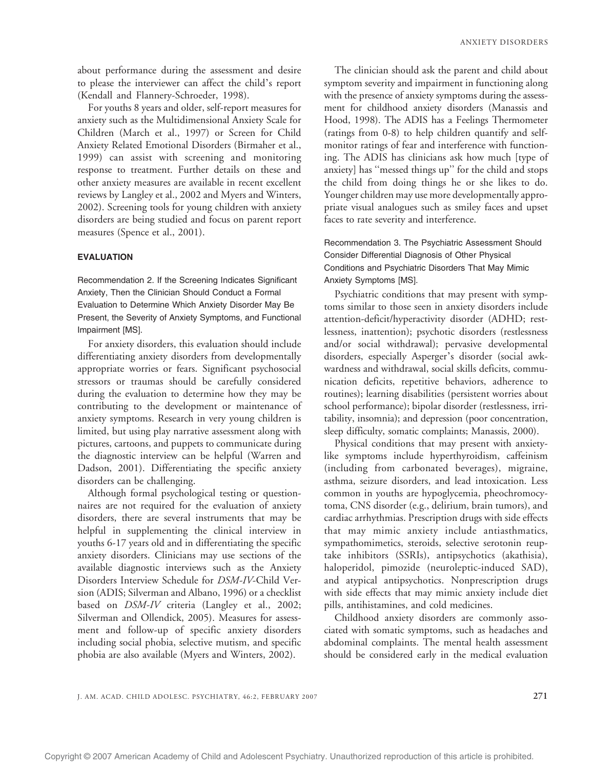about performance during the assessment and desire to please the interviewer can affect the child's report (Kendall and Flannery-Schroeder, 1998).

For youths 8 years and older, self-report measures for anxiety such as the Multidimensional Anxiety Scale for Children (March et al., 1997) or Screen for Child Anxiety Related Emotional Disorders (Birmaher et al., 1999) can assist with screening and monitoring response to treatment. Further details on these and other anxiety measures are available in recent excellent reviews by Langley et al., 2002 and Myers and Winters, 2002). Screening tools for young children with anxiety disorders are being studied and focus on parent report measures (Spence et al., 2001).

## EVALUATION

Recommendation 2. If the Screening Indicates Significant Anxiety, Then the Clinician Should Conduct a Formal Evaluation to Determine Which Anxiety Disorder May Be Present, the Severity of Anxiety Symptoms, and Functional Impairment [MS].

For anxiety disorders, this evaluation should include differentiating anxiety disorders from developmentally appropriate worries or fears. Significant psychosocial stressors or traumas should be carefully considered during the evaluation to determine how they may be contributing to the development or maintenance of anxiety symptoms. Research in very young children is limited, but using play narrative assessment along with pictures, cartoons, and puppets to communicate during the diagnostic interview can be helpful (Warren and Dadson, 2001). Differentiating the specific anxiety disorders can be challenging.

Although formal psychological testing or questionnaires are not required for the evaluation of anxiety disorders, there are several instruments that may be helpful in supplementing the clinical interview in youths 6-17 years old and in differentiating the specific anxiety disorders. Clinicians may use sections of the available diagnostic interviews such as the Anxiety Disorders Interview Schedule for DSM-IV-Child Version (ADIS; Silverman and Albano, 1996) or a checklist based on DSM-IV criteria (Langley et al., 2002; Silverman and Ollendick, 2005). Measures for assessment and follow-up of specific anxiety disorders including social phobia, selective mutism, and specific phobia are also available (Myers and Winters, 2002).

The clinician should ask the parent and child about symptom severity and impairment in functioning along with the presence of anxiety symptoms during the assessment for childhood anxiety disorders (Manassis and Hood, 1998). The ADIS has a Feelings Thermometer (ratings from 0-8) to help children quantify and selfmonitor ratings of fear and interference with functioning. The ADIS has clinicians ask how much [type of anxiety] has ''messed things up'' for the child and stops the child from doing things he or she likes to do. Younger children may use more developmentally appropriate visual analogues such as smiley faces and upset faces to rate severity and interference.

Recommendation 3. The Psychiatric Assessment Should Consider Differential Diagnosis of Other Physical Conditions and Psychiatric Disorders That May Mimic Anxiety Symptoms [MS].

Psychiatric conditions that may present with symptoms similar to those seen in anxiety disorders include attention-deficit/hyperactivity disorder (ADHD; restlessness, inattention); psychotic disorders (restlessness and/or social withdrawal); pervasive developmental disorders, especially Asperger's disorder (social awkwardness and withdrawal, social skills deficits, communication deficits, repetitive behaviors, adherence to routines); learning disabilities (persistent worries about school performance); bipolar disorder (restlessness, irritability, insomnia); and depression (poor concentration, sleep difficulty, somatic complaints; Manassis, 2000).

Physical conditions that may present with anxietylike symptoms include hyperthyroidism, caffeinism (including from carbonated beverages), migraine, asthma, seizure disorders, and lead intoxication. Less common in youths are hypoglycemia, pheochromocytoma, CNS disorder (e.g., delirium, brain tumors), and cardiac arrhythmias. Prescription drugs with side effects that may mimic anxiety include antiasthmatics, sympathomimetics, steroids, selective serotonin reuptake inhibitors (SSRIs), antipsychotics (akathisia), haloperidol, pimozide (neuroleptic-induced SAD), and atypical antipsychotics. Nonprescription drugs with side effects that may mimic anxiety include diet pills, antihistamines, and cold medicines.

Childhood anxiety disorders are commonly associated with somatic symptoms, such as headaches and abdominal complaints. The mental health assessment should be considered early in the medical evaluation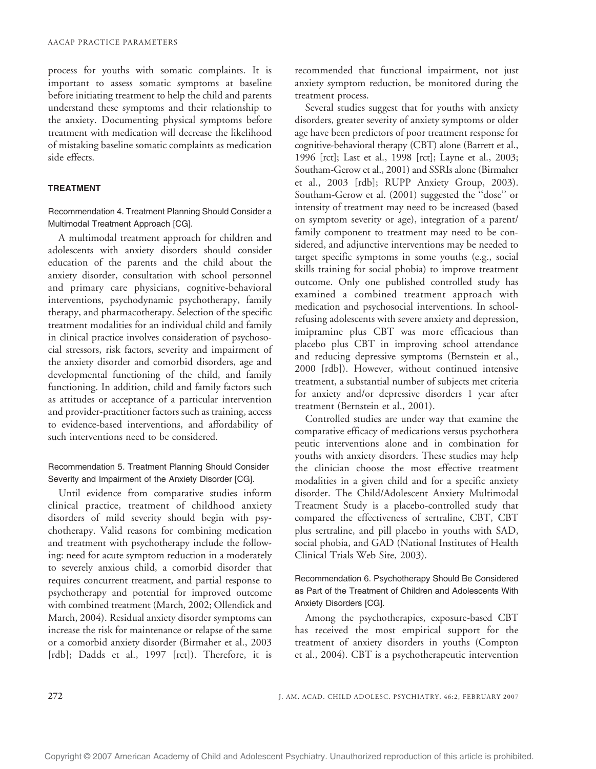process for youths with somatic complaints. It is important to assess somatic symptoms at baseline before initiating treatment to help the child and parents understand these symptoms and their relationship to the anxiety. Documenting physical symptoms before treatment with medication will decrease the likelihood of mistaking baseline somatic complaints as medication side effects.

## TREATMENT

Recommendation 4. Treatment Planning Should Consider a Multimodal Treatment Approach [CG].

A multimodal treatment approach for children and adolescents with anxiety disorders should consider education of the parents and the child about the anxiety disorder, consultation with school personnel and primary care physicians, cognitive-behavioral interventions, psychodynamic psychotherapy, family therapy, and pharmacotherapy. Selection of the specific treatment modalities for an individual child and family in clinical practice involves consideration of psychosocial stressors, risk factors, severity and impairment of the anxiety disorder and comorbid disorders, age and developmental functioning of the child, and family functioning. In addition, child and family factors such as attitudes or acceptance of a particular intervention and provider-practitioner factors such as training, access to evidence-based interventions, and affordability of such interventions need to be considered.

# Recommendation 5. Treatment Planning Should Consider Severity and Impairment of the Anxiety Disorder [CG].

Until evidence from comparative studies inform clinical practice, treatment of childhood anxiety disorders of mild severity should begin with psychotherapy. Valid reasons for combining medication and treatment with psychotherapy include the following: need for acute symptom reduction in a moderately to severely anxious child, a comorbid disorder that requires concurrent treatment, and partial response to psychotherapy and potential for improved outcome with combined treatment (March, 2002; Ollendick and March, 2004). Residual anxiety disorder symptoms can increase the risk for maintenance or relapse of the same or a comorbid anxiety disorder (Birmaher et al., 2003 [rdb]; Dadds et al., 1997 [rct]). Therefore, it is

recommended that functional impairment, not just anxiety symptom reduction, be monitored during the treatment process.

Several studies suggest that for youths with anxiety disorders, greater severity of anxiety symptoms or older age have been predictors of poor treatment response for cognitive-behavioral therapy (CBT) alone (Barrett et al., 1996 [rct]; Last et al., 1998 [rct]; Layne et al., 2003; Southam-Gerow et al., 2001) and SSRIs alone (Birmaher et al., 2003 [rdb]; RUPP Anxiety Group, 2003). Southam-Gerow et al. (2001) suggested the ''dose'' or intensity of treatment may need to be increased (based on symptom severity or age), integration of a parent/ family component to treatment may need to be considered, and adjunctive interventions may be needed to target specific symptoms in some youths (e.g., social skills training for social phobia) to improve treatment outcome. Only one published controlled study has examined a combined treatment approach with medication and psychosocial interventions. In schoolrefusing adolescents with severe anxiety and depression, imipramine plus CBT was more efficacious than placebo plus CBT in improving school attendance and reducing depressive symptoms (Bernstein et al., 2000 [rdb]). However, without continued intensive treatment, a substantial number of subjects met criteria for anxiety and/or depressive disorders 1 year after treatment (Bernstein et al., 2001).

Controlled studies are under way that examine the comparative efficacy of medications versus psychothera peutic interventions alone and in combination for youths with anxiety disorders. These studies may help the clinician choose the most effective treatment modalities in a given child and for a specific anxiety disorder. The Child/Adolescent Anxiety Multimodal Treatment Study is a placebo-controlled study that compared the effectiveness of sertraline, CBT, CBT plus sertraline, and pill placebo in youths with SAD, social phobia, and GAD (National Institutes of Health Clinical Trials Web Site, 2003).

# Recommendation 6. Psychotherapy Should Be Considered as Part of the Treatment of Children and Adolescents With Anxiety Disorders [CG].

Among the psychotherapies, exposure-based CBT has received the most empirical support for the treatment of anxiety disorders in youths (Compton et al., 2004). CBT is a psychotherapeutic intervention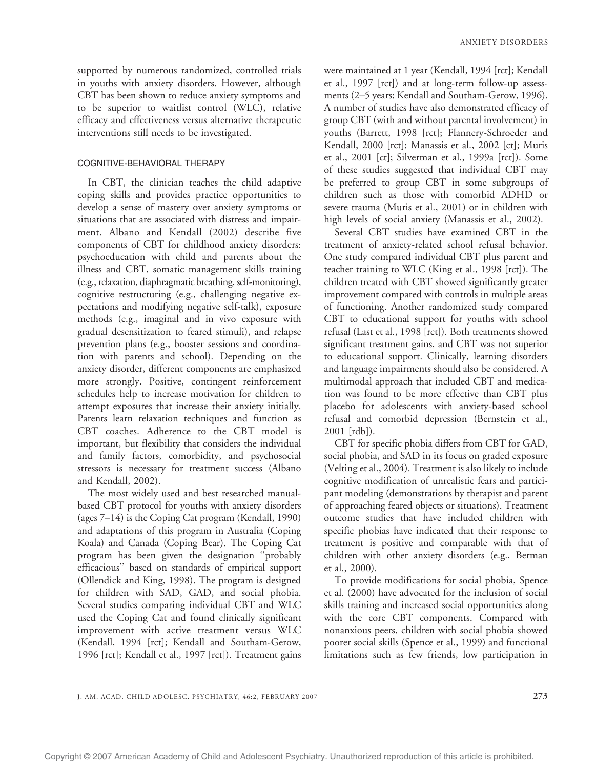supported by numerous randomized, controlled trials in youths with anxiety disorders. However, although CBT has been shown to reduce anxiety symptoms and to be superior to waitlist control (WLC), relative efficacy and effectiveness versus alternative therapeutic interventions still needs to be investigated.

## COGNITIVE-BEHAVIORAL THERAPY

In CBT, the clinician teaches the child adaptive coping skills and provides practice opportunities to develop a sense of mastery over anxiety symptoms or situations that are associated with distress and impairment. Albano and Kendall (2002) describe five components of CBT for childhood anxiety disorders: psychoeducation with child and parents about the illness and CBT, somatic management skills training (e.g., relaxation, diaphragmatic breathing, self-monitoring), cognitive restructuring (e.g., challenging negative expectations and modifying negative self-talk), exposure methods (e.g., imaginal and in vivo exposure with gradual desensitization to feared stimuli), and relapse prevention plans (e.g., booster sessions and coordination with parents and school). Depending on the anxiety disorder, different components are emphasized more strongly. Positive, contingent reinforcement schedules help to increase motivation for children to attempt exposures that increase their anxiety initially. Parents learn relaxation techniques and function as CBT coaches. Adherence to the CBT model is important, but flexibility that considers the individual and family factors, comorbidity, and psychosocial stressors is necessary for treatment success (Albano and Kendall, 2002).

The most widely used and best researched manualbased CBT protocol for youths with anxiety disorders (ages  $7-14$ ) is the Coping Cat program (Kendall, 1990) and adaptations of this program in Australia (Coping Koala) and Canada (Coping Bear). The Coping Cat program has been given the designation ''probably efficacious'' based on standards of empirical support (Ollendick and King, 1998). The program is designed for children with SAD, GAD, and social phobia. Several studies comparing individual CBT and WLC used the Coping Cat and found clinically significant improvement with active treatment versus WLC (Kendall, 1994 [rct]; Kendall and Southam-Gerow, 1996 [rct]; Kendall et al., 1997 [rct]). Treatment gains were maintained at 1 year (Kendall, 1994 [rct]; Kendall et al., 1997 [rct]) and at long-term follow-up assessments (2-5 years; Kendall and Southam-Gerow, 1996). A number of studies have also demonstrated efficacy of group CBT (with and without parental involvement) in youths (Barrett, 1998 [rct]; Flannery-Schroeder and Kendall, 2000 [rct]; Manassis et al., 2002 [ct]; Muris et al., 2001 [ct]; Silverman et al., 1999a [rct]). Some of these studies suggested that individual CBT may be preferred to group CBT in some subgroups of children such as those with comorbid ADHD or severe trauma (Muris et al., 2001) or in children with high levels of social anxiety (Manassis et al., 2002).

Several CBT studies have examined CBT in the treatment of anxiety-related school refusal behavior. One study compared individual CBT plus parent and teacher training to WLC (King et al., 1998 [rct]). The children treated with CBT showed significantly greater improvement compared with controls in multiple areas of functioning. Another randomized study compared CBT to educational support for youths with school refusal (Last et al., 1998 [rct]). Both treatments showed significant treatment gains, and CBT was not superior to educational support. Clinically, learning disorders and language impairments should also be considered. A multimodal approach that included CBT and medication was found to be more effective than CBT plus placebo for adolescents with anxiety-based school refusal and comorbid depression (Bernstein et al., 2001 [rdb]).

CBT for specific phobia differs from CBT for GAD, social phobia, and SAD in its focus on graded exposure (Velting et al., 2004). Treatment is also likely to include cognitive modification of unrealistic fears and participant modeling (demonstrations by therapist and parent of approaching feared objects or situations). Treatment outcome studies that have included children with specific phobias have indicated that their response to treatment is positive and comparable with that of children with other anxiety disorders (e.g., Berman et al., 2000).

To provide modifications for social phobia, Spence et al. (2000) have advocated for the inclusion of social skills training and increased social opportunities along with the core CBT components. Compared with nonanxious peers, children with social phobia showed poorer social skills (Spence et al., 1999) and functional limitations such as few friends, low participation in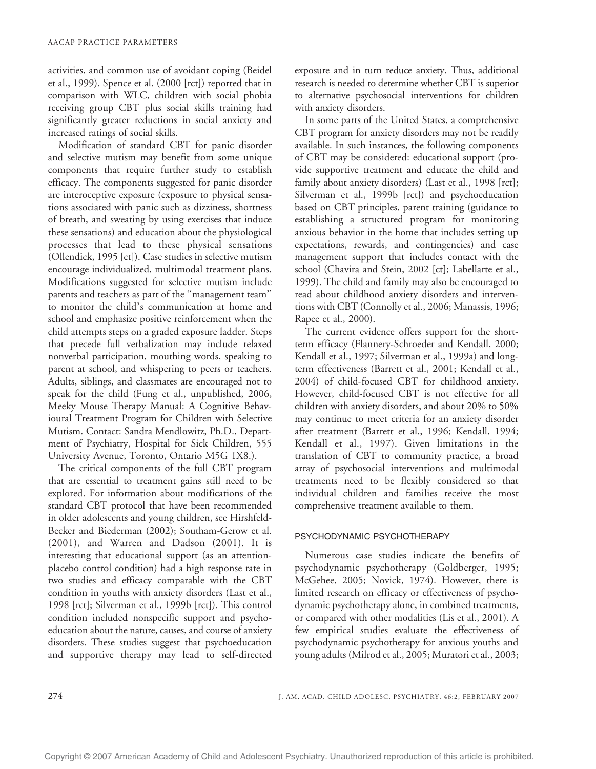activities, and common use of avoidant coping (Beidel et al., 1999). Spence et al. (2000 [rct]) reported that in comparison with WLC, children with social phobia receiving group CBT plus social skills training had significantly greater reductions in social anxiety and increased ratings of social skills.

Modification of standard CBT for panic disorder and selective mutism may benefit from some unique components that require further study to establish efficacy. The components suggested for panic disorder are interoceptive exposure (exposure to physical sensations associated with panic such as dizziness, shortness of breath, and sweating by using exercises that induce these sensations) and education about the physiological processes that lead to these physical sensations (Ollendick, 1995 [ct]). Case studies in selective mutism encourage individualized, multimodal treatment plans. Modifications suggested for selective mutism include parents and teachers as part of the ''management team'' to monitor the child's communication at home and school and emphasize positive reinforcement when the child attempts steps on a graded exposure ladder. Steps that precede full verbalization may include relaxed nonverbal participation, mouthing words, speaking to parent at school, and whispering to peers or teachers. Adults, siblings, and classmates are encouraged not to speak for the child (Fung et al., unpublished, 2006, Meeky Mouse Therapy Manual: A Cognitive Behavioural Treatment Program for Children with Selective Mutism. Contact: Sandra Mendlowitz, Ph.D., Department of Psychiatry, Hospital for Sick Children, 555 University Avenue, Toronto, Ontario M5G 1X8.).

The critical components of the full CBT program that are essential to treatment gains still need to be explored. For information about modifications of the standard CBT protocol that have been recommended in older adolescents and young children, see Hirshfeld-Becker and Biederman (2002); Southam-Gerow et al. (2001), and Warren and Dadson (2001). It is interesting that educational support (as an attentionplacebo control condition) had a high response rate in two studies and efficacy comparable with the CBT condition in youths with anxiety disorders (Last et al., 1998 [rct]; Silverman et al., 1999b [rct]). This control condition included nonspecific support and psychoeducation about the nature, causes, and course of anxiety disorders. These studies suggest that psychoeducation and supportive therapy may lead to self-directed

exposure and in turn reduce anxiety. Thus, additional research is needed to determine whether CBT is superior to alternative psychosocial interventions for children with anxiety disorders.

In some parts of the United States, a comprehensive CBT program for anxiety disorders may not be readily available. In such instances, the following components of CBT may be considered: educational support (provide supportive treatment and educate the child and family about anxiety disorders) (Last et al., 1998 [rct]; Silverman et al., 1999b [rct]) and psychoeducation based on CBT principles, parent training (guidance to establishing a structured program for monitoring anxious behavior in the home that includes setting up expectations, rewards, and contingencies) and case management support that includes contact with the school (Chavira and Stein, 2002 [ct]; Labellarte et al., 1999). The child and family may also be encouraged to read about childhood anxiety disorders and interventions with CBT (Connolly et al., 2006; Manassis, 1996; Rapee et al., 2000).

The current evidence offers support for the shortterm efficacy (Flannery-Schroeder and Kendall, 2000; Kendall et al., 1997; Silverman et al., 1999a) and longterm effectiveness (Barrett et al., 2001; Kendall et al., 2004) of child-focused CBT for childhood anxiety. However, child-focused CBT is not effective for all children with anxiety disorders, and about 20% to 50% may continue to meet criteria for an anxiety disorder after treatment (Barrett et al., 1996; Kendall, 1994; Kendall et al., 1997). Given limitations in the translation of CBT to community practice, a broad array of psychosocial interventions and multimodal treatments need to be flexibly considered so that individual children and families receive the most comprehensive treatment available to them.

## PSYCHODYNAMIC PSYCHOTHERAPY

Numerous case studies indicate the benefits of psychodynamic psychotherapy (Goldberger, 1995; McGehee, 2005; Novick, 1974). However, there is limited research on efficacy or effectiveness of psychodynamic psychotherapy alone, in combined treatments, or compared with other modalities (Lis et al., 2001). A few empirical studies evaluate the effectiveness of psychodynamic psychotherapy for anxious youths and young adults (Milrod et al., 2005; Muratori et al., 2003;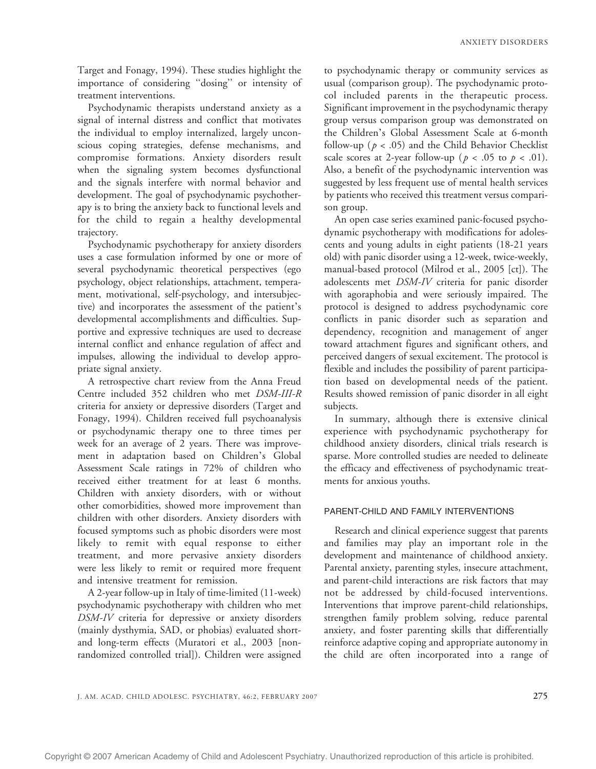Target and Fonagy, 1994). These studies highlight the importance of considering ''dosing'' or intensity of treatment interventions.

Psychodynamic therapists understand anxiety as a signal of internal distress and conflict that motivates the individual to employ internalized, largely unconscious coping strategies, defense mechanisms, and compromise formations. Anxiety disorders result when the signaling system becomes dysfunctional and the signals interfere with normal behavior and development. The goal of psychodynamic psychotherapy is to bring the anxiety back to functional levels and for the child to regain a healthy developmental trajectory.

Psychodynamic psychotherapy for anxiety disorders uses a case formulation informed by one or more of several psychodynamic theoretical perspectives (ego psychology, object relationships, attachment, temperament, motivational, self-psychology, and intersubjective) and incorporates the assessment of the patient's developmental accomplishments and difficulties. Supportive and expressive techniques are used to decrease internal conflict and enhance regulation of affect and impulses, allowing the individual to develop appropriate signal anxiety.

A retrospective chart review from the Anna Freud Centre included 352 children who met DSM-III-R criteria for anxiety or depressive disorders (Target and Fonagy, 1994). Children received full psychoanalysis or psychodynamic therapy one to three times per week for an average of 2 years. There was improvement in adaptation based on Children's Global Assessment Scale ratings in 72% of children who received either treatment for at least 6 months. Children with anxiety disorders, with or without other comorbidities, showed more improvement than children with other disorders. Anxiety disorders with focused symptoms such as phobic disorders were most likely to remit with equal response to either treatment, and more pervasive anxiety disorders were less likely to remit or required more frequent and intensive treatment for remission.

A 2-year follow-up in Italy of time-limited (11-week) psychodynamic psychotherapy with children who met DSM-IV criteria for depressive or anxiety disorders (mainly dysthymia, SAD, or phobias) evaluated shortand long-term effects (Muratori et al., 2003 [nonrandomized controlled trial]). Children were assigned to psychodynamic therapy or community services as usual (comparison group). The psychodynamic protocol included parents in the therapeutic process. Significant improvement in the psychodynamic therapy group versus comparison group was demonstrated on the Children's Global Assessment Scale at 6-month follow-up ( $p < .05$ ) and the Child Behavior Checklist scale scores at 2-year follow-up ( $p < .05$  to  $p < .01$ ). Also, a benefit of the psychodynamic intervention was suggested by less frequent use of mental health services by patients who received this treatment versus comparison group.

An open case series examined panic-focused psychodynamic psychotherapy with modifications for adolescents and young adults in eight patients (18-21 years old) with panic disorder using a 12-week, twice-weekly, manual-based protocol (Milrod et al., 2005 [ct]). The adolescents met DSM-IV criteria for panic disorder with agoraphobia and were seriously impaired. The protocol is designed to address psychodynamic core conflicts in panic disorder such as separation and dependency, recognition and management of anger toward attachment figures and significant others, and perceived dangers of sexual excitement. The protocol is flexible and includes the possibility of parent participation based on developmental needs of the patient. Results showed remission of panic disorder in all eight subjects.

In summary, although there is extensive clinical experience with psychodynamic psychotherapy for childhood anxiety disorders, clinical trials research is sparse. More controlled studies are needed to delineate the efficacy and effectiveness of psychodynamic treatments for anxious youths.

## PARENT-CHILD AND FAMILY INTERVENTIONS

Research and clinical experience suggest that parents and families may play an important role in the development and maintenance of childhood anxiety. Parental anxiety, parenting styles, insecure attachment, and parent-child interactions are risk factors that may not be addressed by child-focused interventions. Interventions that improve parent-child relationships, strengthen family problem solving, reduce parental anxiety, and foster parenting skills that differentially reinforce adaptive coping and appropriate autonomy in the child are often incorporated into a range of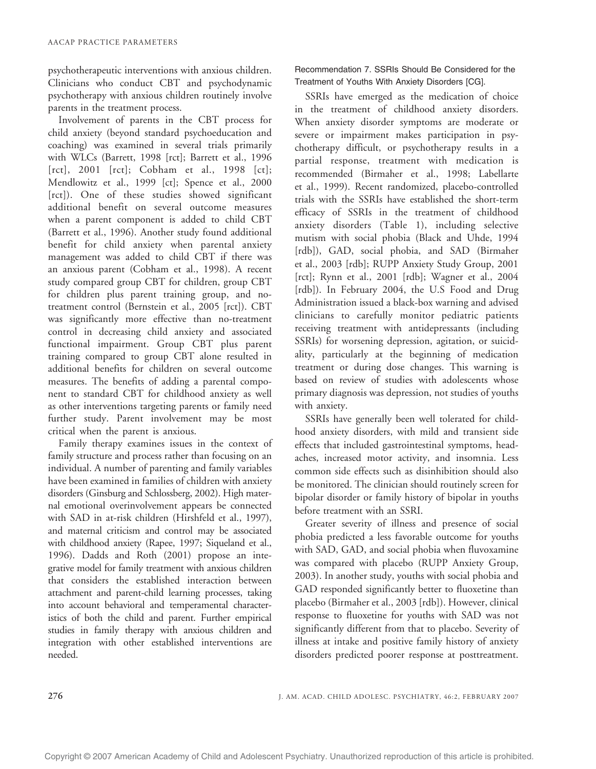psychotherapeutic interventions with anxious children. Clinicians who conduct CBT and psychodynamic psychotherapy with anxious children routinely involve parents in the treatment process.

Involvement of parents in the CBT process for child anxiety (beyond standard psychoeducation and coaching) was examined in several trials primarily with WLCs (Barrett, 1998 [rct]; Barrett et al., 1996 [rct], 2001 [rct]; Cobham et al., 1998 [ct]; Mendlowitz et al., 1999 [ct]; Spence et al., 2000 [rct]). One of these studies showed significant additional benefit on several outcome measures when a parent component is added to child CBT (Barrett et al., 1996). Another study found additional benefit for child anxiety when parental anxiety management was added to child CBT if there was an anxious parent (Cobham et al., 1998). A recent study compared group CBT for children, group CBT for children plus parent training group, and notreatment control (Bernstein et al., 2005 [rct]). CBT was significantly more effective than no-treatment control in decreasing child anxiety and associated functional impairment. Group CBT plus parent training compared to group CBT alone resulted in additional benefits for children on several outcome measures. The benefits of adding a parental component to standard CBT for childhood anxiety as well as other interventions targeting parents or family need further study. Parent involvement may be most critical when the parent is anxious.

Family therapy examines issues in the context of family structure and process rather than focusing on an individual. A number of parenting and family variables have been examined in families of children with anxiety disorders (Ginsburg and Schlossberg, 2002). High maternal emotional overinvolvement appears be connected with SAD in at-risk children (Hirshfeld et al., 1997), and maternal criticism and control may be associated with childhood anxiety (Rapee, 1997; Siqueland et al., 1996). Dadds and Roth (2001) propose an integrative model for family treatment with anxious children that considers the established interaction between attachment and parent-child learning processes, taking into account behavioral and temperamental characteristics of both the child and parent. Further empirical studies in family therapy with anxious children and integration with other established interventions are needed.

Recommendation 7. SSRIs Should Be Considered for the Treatment of Youths With Anxiety Disorders [CG].

SSRIs have emerged as the medication of choice in the treatment of childhood anxiety disorders. When anxiety disorder symptoms are moderate or severe or impairment makes participation in psychotherapy difficult, or psychotherapy results in a partial response, treatment with medication is recommended (Birmaher et al., 1998; Labellarte et al., 1999). Recent randomized, placebo-controlled trials with the SSRIs have established the short-term efficacy of SSRIs in the treatment of childhood anxiety disorders (Table 1), including selective mutism with social phobia (Black and Uhde, 1994 [rdb]), GAD, social phobia, and SAD (Birmaher et al., 2003 [rdb]; RUPP Anxiety Study Group, 2001 [rct]; Rynn et al., 2001 [rdb]; Wagner et al., 2004 [rdb]). In February 2004, the U.S Food and Drug Administration issued a black-box warning and advised clinicians to carefully monitor pediatric patients receiving treatment with antidepressants (including SSRIs) for worsening depression, agitation, or suicidality, particularly at the beginning of medication treatment or during dose changes. This warning is based on review of studies with adolescents whose primary diagnosis was depression, not studies of youths with anxiety.

SSRIs have generally been well tolerated for childhood anxiety disorders, with mild and transient side effects that included gastrointestinal symptoms, headaches, increased motor activity, and insomnia. Less common side effects such as disinhibition should also be monitored. The clinician should routinely screen for bipolar disorder or family history of bipolar in youths before treatment with an SSRI.

Greater severity of illness and presence of social phobia predicted a less favorable outcome for youths with SAD, GAD, and social phobia when fluvoxamine was compared with placebo (RUPP Anxiety Group, 2003). In another study, youths with social phobia and GAD responded significantly better to fluoxetine than placebo (Birmaher et al., 2003 [rdb]). However, clinical response to fluoxetine for youths with SAD was not significantly different from that to placebo. Severity of illness at intake and positive family history of anxiety disorders predicted poorer response at posttreatment.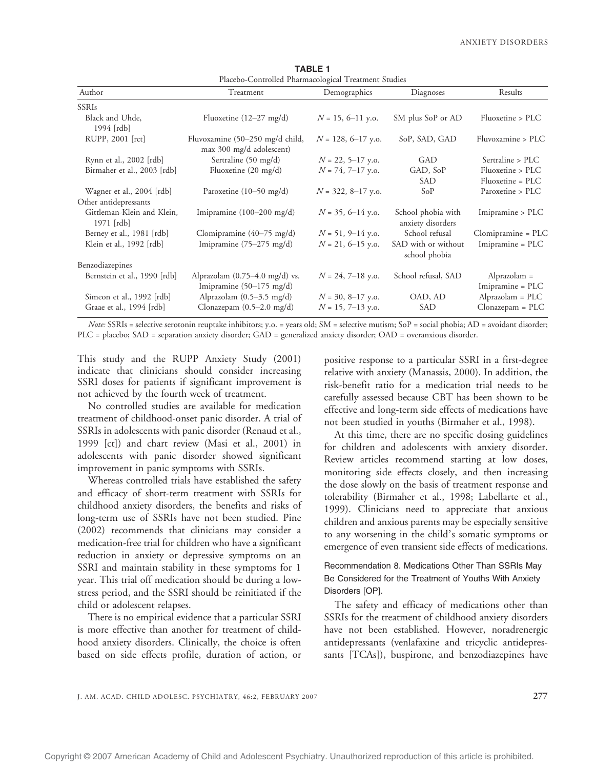| Placebo-Controlled Pharmacological Treatment Studies |                                                                      |                        |                                         |                                    |
|------------------------------------------------------|----------------------------------------------------------------------|------------------------|-----------------------------------------|------------------------------------|
| Author                                               | Treatment                                                            | Demographics           | Diagnoses                               | Results                            |
| <b>SSRIs</b>                                         |                                                                      |                        |                                         |                                    |
| Black and Uhde,<br>1994 [rdb]                        | Fluoxetine $(12-27 \text{ mg/d})$                                    | $N = 15, 6 - 11$ y.o.  | SM plus SoP or AD                       | Fluoxetine > PLC                   |
| RUPP, 2001 [rct]                                     | Fluvoxamine (50-250 mg/d child,<br>max 300 mg/d adolescent)          | $N = 128, 6-17$ y.o.   | SoP, SAD, GAD                           | Fluvoxamine > PLC                  |
| Rynn et al., 2002 [rdb]                              | Sertraline (50 mg/d)                                                 | $N = 22, 5 - 17$ y.o.  | GAD                                     | Sertraline > PLC                   |
| Birmaher et al., 2003 [rdb]                          | Fluoxetine $(20 \text{ mg/d})$                                       | $N = 74, 7 - 17$ y.o.  | GAD, SoP                                | Fluoxetine > PLC                   |
|                                                      |                                                                      |                        | <b>SAD</b>                              | Fluoxetine = PLC                   |
| Wagner et al., 2004 [rdb]                            | Paroxetine (10–50 mg/d)                                              | $N = 322, 8 - 17$ y.o. | SoP                                     | Paroxetine > PLC                   |
| Other antidepressants                                |                                                                      |                        |                                         |                                    |
| Gittleman-Klein and Klein,<br>$1971$ [rdb]           | Imipramine $(100-200 \text{ mg/d})$                                  | $N = 35, 6-14$ y.o.    | School phobia with<br>anxiety disorders | Imipramine > PLC                   |
| Berney et al., 1981 [rdb]                            | Clomipramine (40-75 mg/d)                                            | $N = 51, 9-14$ y.o.    | School refusal                          | Clomipramine = PLC                 |
| Klein et al., 1992 [rdb]                             | Imipramine $(75-275 \text{ mg/d})$                                   | $N = 21, 6-15$ y.o.    | SAD with or without<br>school phobia    | Imipramine = PLC                   |
| Benzodiazepines                                      |                                                                      |                        |                                         |                                    |
| Bernstein et al., 1990 [rdb]                         | Alprazolam $(0.75-4.0 \text{ mg/d})$ vs.<br>Imipramine (50-175 mg/d) | $N = 24, 7 - 18$ y.o.  | School refusal, SAD                     | Alprazolam $=$<br>Imipramine = PLC |
| Simeon et al., 1992 [rdb]                            | Alprazolam $(0.5-3.5 \text{ mg/d})$                                  | $N = 30, 8 - 17$ y.o.  | OAD, AD                                 | Alprazolam = PLC                   |
| Graae et al., 1994 [rdb]                             | Clonazepam $(0.5-2.0 \text{ mg/d})$                                  | $N = 15, 7-13$ y.o.    | SAD                                     | $Clonazepam = PLC$                 |

TABLE 1 Placebo-Controlled Pharmacological Treatment Studies

Note: SSRIs = selective serotonin reuptake inhibitors; y.o. = years old; SM = selective mutism; SoP = social phobia; AD = avoidant disorder; PLC = placebo; SAD = separation anxiety disorder; GAD = generalized anxiety disorder; OAD = overanxious disorder.

This study and the RUPP Anxiety Study (2001) indicate that clinicians should consider increasing SSRI doses for patients if significant improvement is not achieved by the fourth week of treatment.

No controlled studies are available for medication treatment of childhood-onset panic disorder. A trial of SSRIs in adolescents with panic disorder (Renaud et al., 1999 [ct]) and chart review (Masi et al., 2001) in adolescents with panic disorder showed significant improvement in panic symptoms with SSRIs.

Whereas controlled trials have established the safety and efficacy of short-term treatment with SSRIs for childhood anxiety disorders, the benefits and risks of long-term use of SSRIs have not been studied. Pine (2002) recommends that clinicians may consider a medication-free trial for children who have a significant reduction in anxiety or depressive symptoms on an SSRI and maintain stability in these symptoms for 1 year. This trial off medication should be during a lowstress period, and the SSRI should be reinitiated if the child or adolescent relapses.

There is no empirical evidence that a particular SSRI is more effective than another for treatment of childhood anxiety disorders. Clinically, the choice is often based on side effects profile, duration of action, or positive response to a particular SSRI in a first-degree relative with anxiety (Manassis, 2000). In addition, the risk-benefit ratio for a medication trial needs to be carefully assessed because CBT has been shown to be effective and long-term side effects of medications have not been studied in youths (Birmaher et al., 1998).

At this time, there are no specific dosing guidelines for children and adolescents with anxiety disorder. Review articles recommend starting at low doses, monitoring side effects closely, and then increasing the dose slowly on the basis of treatment response and tolerability (Birmaher et al., 1998; Labellarte et al., 1999). Clinicians need to appreciate that anxious children and anxious parents may be especially sensitive to any worsening in the child's somatic symptoms or emergence of even transient side effects of medications.

Recommendation 8. Medications Other Than SSRIs May Be Considered for the Treatment of Youths With Anxiety Disorders [OP].

The safety and efficacy of medications other than SSRIs for the treatment of childhood anxiety disorders have not been established. However, noradrenergic antidepressants (venlafaxine and tricyclic antidepressants [TCAs]), buspirone, and benzodiazepines have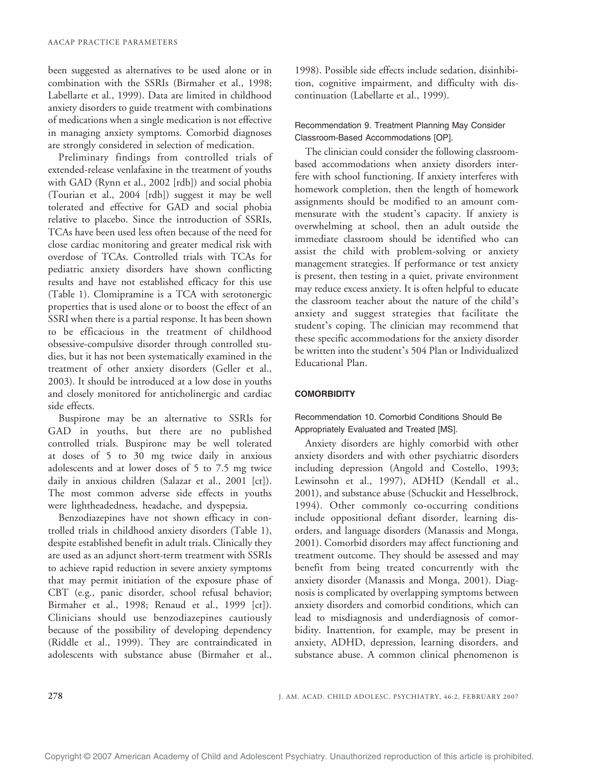been suggested as alternatives to be used alone or in combination with the SSRIs (Birmaher et al., 1998; Labellarte et al., 1999). Data are limited in childhood anxiety disorders to guide treatment with combinations of medications when a single medication is not effective in managing anxiety symptoms. Comorbid diagnoses are strongly considered in selection of medication.

Preliminary findings from controlled trials of extended-release venlafaxine in the treatment of youths with GAD (Rynn et al., 2002 [rdb]) and social phobia (Tourian et al., 2004 [rdb]) suggest it may be well tolerated and effective for GAD and social phobia relative to placebo. Since the introduction of SSRIs, TCAs have been used less often because of the need for close cardiac monitoring and greater medical risk with overdose of TCAs. Controlled trials with TCAs for pediatric anxiety disorders have shown conflicting results and have not established efficacy for this use (Table 1). Clomipramine is a TCA with serotonergic properties that is used alone or to boost the effect of an SSRI when there is a partial response. It has been shown to be efficacious in the treatment of childhood obsessive-compulsive disorder through controlled studies, but it has not been systematically examined in the treatment of other anxiety disorders (Geller et al., 2003). It should be introduced at a low dose in youths and closely monitored for anticholinergic and cardiac side effects.

Buspirone may be an alternative to SSRIs for GAD in youths, but there are no published controlled trials. Buspirone may be well tolerated at doses of 5 to 30 mg twice daily in anxious adolescents and at lower doses of 5 to 7.5 mg twice daily in anxious children (Salazar et al., 2001 [ct]). The most common adverse side effects in youths were lightheadedness, headache, and dyspepsia.

Benzodiazepines have not shown efficacy in controlled trials in childhood anxiety disorders (Table 1), despite established benefit in adult trials. Clinically they are used as an adjunct short-term treatment with SSRIs to achieve rapid reduction in severe anxiety symptoms that may permit initiation of the exposure phase of CBT (e.g., panic disorder, school refusal behavior; Birmaher et al., 1998; Renaud et al., 1999 [ct]). Clinicians should use benzodiazepines cautiously because of the possibility of developing dependency (Riddle et al., 1999). They are contraindicated in adolescents with substance abuse (Birmaher et al.,

1998). Possible side effects include sedation, disinhibition, cognitive impairment, and difficulty with discontinuation (Labellarte et al., 1999).

# Recommendation 9. Treatment Planning May Consider Classroom-Based Accommodations [OP].

The clinician could consider the following classroombased accommodations when anxiety disorders interfere with school functioning. If anxiety interferes with homework completion, then the length of homework assignments should be modified to an amount commensurate with the student's capacity. If anxiety is overwhelming at school, then an adult outside the immediate classroom should be identified who can assist the child with problem-solving or anxiety management strategies. If performance or test anxiety is present, then testing in a quiet, private environment may reduce excess anxiety. It is often helpful to educate the classroom teacher about the nature of the child's anxiety and suggest strategies that facilitate the student's coping. The clinician may recommend that these specific accommodations for the anxiety disorder be written into the student's 504 Plan or Individualized Educational Plan.

## **COMORBIDITY**

# Recommendation 10. Comorbid Conditions Should Be Appropriately Evaluated and Treated [MS].

Anxiety disorders are highly comorbid with other anxiety disorders and with other psychiatric disorders including depression (Angold and Costello, 1993; Lewinsohn et al., 1997), ADHD (Kendall et al., 2001), and substance abuse (Schuckit and Hesselbrock, 1994). Other commonly co-occurring conditions include oppositional defiant disorder, learning disorders, and language disorders (Manassis and Monga, 2001). Comorbid disorders may affect functioning and treatment outcome. They should be assessed and may benefit from being treated concurrently with the anxiety disorder (Manassis and Monga, 2001). Diagnosis is complicated by overlapping symptoms between anxiety disorders and comorbid conditions, which can lead to misdiagnosis and underdiagnosis of comorbidity. Inattention, for example, may be present in anxiety, ADHD, depression, learning disorders, and substance abuse. A common clinical phenomenon is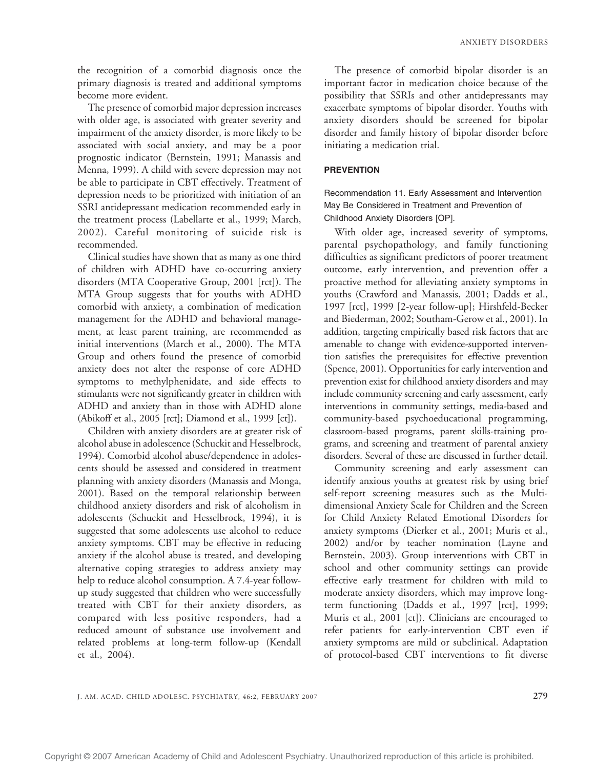the recognition of a comorbid diagnosis once the primary diagnosis is treated and additional symptoms become more evident.

The presence of comorbid major depression increases with older age, is associated with greater severity and impairment of the anxiety disorder, is more likely to be associated with social anxiety, and may be a poor prognostic indicator (Bernstein, 1991; Manassis and Menna, 1999). A child with severe depression may not be able to participate in CBT effectively. Treatment of depression needs to be prioritized with initiation of an SSRI antidepressant medication recommended early in the treatment process (Labellarte et al., 1999; March, 2002). Careful monitoring of suicide risk is recommended.

Clinical studies have shown that as many as one third of children with ADHD have co-occurring anxiety disorders (MTA Cooperative Group, 2001 [rct]). The MTA Group suggests that for youths with ADHD comorbid with anxiety, a combination of medication management for the ADHD and behavioral management, at least parent training, are recommended as initial interventions (March et al., 2000). The MTA Group and others found the presence of comorbid anxiety does not alter the response of core ADHD symptoms to methylphenidate, and side effects to stimulants were not significantly greater in children with ADHD and anxiety than in those with ADHD alone (Abikoff et al., 2005 [rct]; Diamond et al., 1999 [ct]).

Children with anxiety disorders are at greater risk of alcohol abuse in adolescence (Schuckit and Hesselbrock, 1994). Comorbid alcohol abuse/dependence in adolescents should be assessed and considered in treatment planning with anxiety disorders (Manassis and Monga, 2001). Based on the temporal relationship between childhood anxiety disorders and risk of alcoholism in adolescents (Schuckit and Hesselbrock, 1994), it is suggested that some adolescents use alcohol to reduce anxiety symptoms. CBT may be effective in reducing anxiety if the alcohol abuse is treated, and developing alternative coping strategies to address anxiety may help to reduce alcohol consumption. A 7.4-year followup study suggested that children who were successfully treated with CBT for their anxiety disorders, as compared with less positive responders, had a reduced amount of substance use involvement and related problems at long-term follow-up (Kendall et al., 2004).

The presence of comorbid bipolar disorder is an important factor in medication choice because of the possibility that SSRIs and other antidepressants may exacerbate symptoms of bipolar disorder. Youths with anxiety disorders should be screened for bipolar disorder and family history of bipolar disorder before initiating a medication trial.

#### **PREVENTION**

Recommendation 11. Early Assessment and Intervention May Be Considered in Treatment and Prevention of Childhood Anxiety Disorders [OP].

With older age, increased severity of symptoms, parental psychopathology, and family functioning difficulties as significant predictors of poorer treatment outcome, early intervention, and prevention offer a proactive method for alleviating anxiety symptoms in youths (Crawford and Manassis, 2001; Dadds et al., 1997 [rct], 1999 [2-year follow-up]; Hirshfeld-Becker and Biederman, 2002; Southam-Gerow et al., 2001). In addition, targeting empirically based risk factors that are amenable to change with evidence-supported intervention satisfies the prerequisites for effective prevention (Spence, 2001). Opportunities for early intervention and prevention exist for childhood anxiety disorders and may include community screening and early assessment, early interventions in community settings, media-based and community-based psychoeducational programming, classroom-based programs, parent skills-training programs, and screening and treatment of parental anxiety disorders. Several of these are discussed in further detail.

Community screening and early assessment can identify anxious youths at greatest risk by using brief self-report screening measures such as the Multidimensional Anxiety Scale for Children and the Screen for Child Anxiety Related Emotional Disorders for anxiety symptoms (Dierker et al., 2001; Muris et al., 2002) and/or by teacher nomination (Layne and Bernstein, 2003). Group interventions with CBT in school and other community settings can provide effective early treatment for children with mild to moderate anxiety disorders, which may improve longterm functioning (Dadds et al., 1997 [rct], 1999; Muris et al., 2001 [ct]). Clinicians are encouraged to refer patients for early-intervention CBT even if anxiety symptoms are mild or subclinical. Adaptation of protocol-based CBT interventions to fit diverse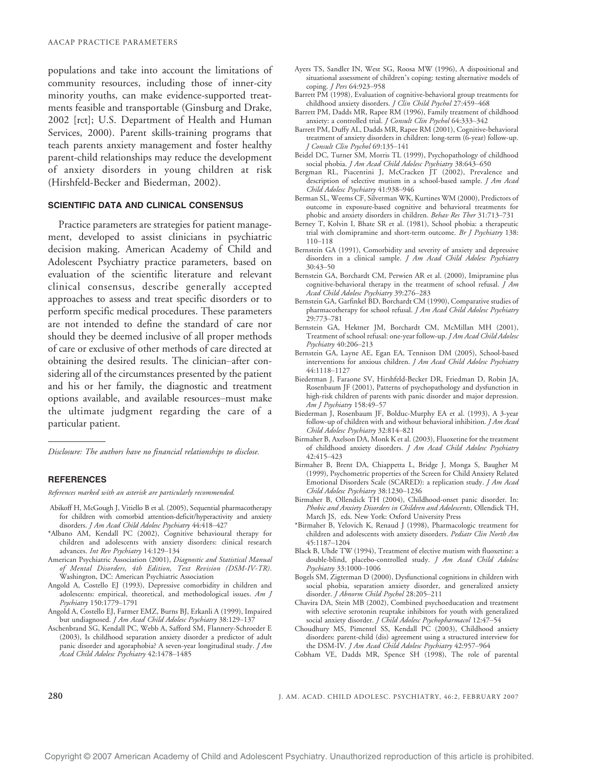populations and take into account the limitations of community resources, including those of inner-city minority youths, can make evidence-supported treatments feasible and transportable (Ginsburg and Drake, 2002 [rct]; U.S. Department of Health and Human Services, 2000). Parent skills-training programs that teach parents anxiety management and foster healthy parent-child relationships may reduce the development of anxiety disorders in young children at risk (Hirshfeld-Becker and Biederman, 2002).

## SCIENTIFIC DATA AND CLINICAL CONSENSUS

Practice parameters are strategies for patient management, developed to assist clinicians in psychiatric decision making. American Academy of Child and Adolescent Psychiatry practice parameters, based on evaluation of the scientific literature and relevant clinical consensus, describe generally accepted approaches to assess and treat specific disorders or to perform specific medical procedures. These parameters are not intended to define the standard of care nor should they be deemed inclusive of all proper methods of care or exclusive of other methods of care directed at obtaining the desired results. The clinician-after considering all of the circumstances presented by the patient and his or her family, the diagnostic and treatment options available, and available resources-must make the ultimate judgment regarding the care of a particular patient.

Disclosure: The authors have no financial relationships to disclose.

#### **REFERENCES**

References marked with an asterisk are particularly recommended.

- Abikoff H, McGough J, Vitiello B et al. (2005), Sequential pharmacotherapy for children with comorbid attention-deficit/hyperactivity and anxiety disorders. J Am Acad Child Adolesc Psychiatry 44:418-427
- \*Albano AM, Kendall PC (2002), Cognitive behavioural therapy for children and adolescents with anxiety disorders: clinical research advances. Int Rev Psychiatry 14:129-134
- American Psychiatric Association (2001), Diagnostic and Statistical Manual of Mental Disorders, 4th Edition, Text Revision (DSM-IV-TR). Washington, DC: American Psychiatric Association
- Angold A, Costello EJ (1993), Depressive comorbidity in children and adolescents: empirical, theoretical, and methodological issues. Am J Psychiatry 150:1779-1791
- Angold A, Costello EJ, Farmer EMZ, Burns BJ, Erkanli A (1999), Impaired but undiagnosed. J Am Acad Child Adolesc Psychiatry 38:129-137
- Aschenbrand SG, Kendall PC, Webb A, Safford SM, Flannery-Schroeder E (2003), Is childhood separation anxiety disorder a predictor of adult panic disorder and agoraphobia? A seven-year longitudinal study. *J Am* Acad Child Adolesc Psychiatry 42:1478-1485
- Ayers TS, Sandler IN, West SG, Roosa MW (1996), A dispositional and situational assessment of children's coping: testing alternative models of coping. *J Pers* 64:923-958
- Barrett PM (1998), Evaluation of cognitive-behavioral group treatments for childhood anxiety disorders. J Clin Child Psychol 27:459-468
- Barrett PM, Dadds MR, Rapee RM (1996), Family treatment of childhood anxiety: a controlled trial. *J Consult Clin Psychol* 64:333-342
- Barrett PM, Duffy AL, Dadds MR, Rapee RM (2001), Cognitive-behavioral treatment of anxiety disorders in children: long-term (6-year) follow-up. J Consult Clin Psychol 69:135-141
- Beidel DC, Turner SM, Morris TL (1999), Psychopathology of childhood social phobia. J Am Acad Child Adolesc Psychiatry 38:643-650
- Bergman RL, Piacentini J, McCracken JT (2002), Prevalence and description of selective mutism in a school-based sample. J Am Acad Child Adolesc Psychiatry 41:938-946
- Berman SL, Weems CF, Silverman WK, Kurtines WM (2000), Predictors of outcome in exposure-based cognitive and behavioral treatments for phobic and anxiety disorders in children. Behav Res Ther 31:713-731
- Berney T, Kolvin I, Bhate SR et al. (1981), School phobia: a therapeutic trial with clomipramine and short-term outcome. Br J Psychiatry 138:  $110 - 118$
- Bernstein GA (1991), Comorbidity and severity of anxiety and depressive disorders in a clinical sample. J Am Acad Child Adolesc Psychiatry 30:43-50
- Bernstein GA, Borchardt CM, Perwien AR et al. (2000), Imipramine plus cognitive-behavioral therapy in the treatment of school refusal.  $\int A m$ Acad Child Adolesc Psychiatry 39:276-283
- Bernstein GA, Garfinkel BD, Borchardt CM (1990), Comparative studies of pharmacotherapy for school refusal. J Am Acad Child Adolesc Psychiatry  $29.773 - 781$
- Bernstein GA, Hektner JM, Borchardt CM, McMillan MH (2001), Treatment of school refusal: one-year follow-up. J Am Acad Child Adolesc Psychiatry 40:206-213
- Bernstein GA, Layne AE, Egan EA, Tennison DM (2005), School-based interventions for anxious children. J Am Acad Child Adolesc Psychiatry  $44.1118 - 1127$
- Biederman J, Faraone SV, Hirshfeld-Becker DR, Friedman D, Robin JA, Rosenbaum JF (2001), Patterns of psychopathology and dysfunction in high-risk children of parents with panic disorder and major depression. Am J Psychiatry 158:49-57
- Biederman J, Rosenbaum JF, Bolduc-Murphy EA et al. (1993), A 3-year follow-up of children with and without behavioral inhibition. J Am Acad Child Adolesc Psychiatry 32:814-821
- Birmaher B, Axelson DA, Monk K et al. (2003), Fluoxetine for the treatment of childhood anxiety disorders. J Am Acad Child Adolesc Psychiatry 42:415-423
- Birmaher B, Brent DA, Chiappetta L, Bridge J, Monga S, Baugher M (1999), Psychometric properties of the Screen for Child Anxiety Related Emotional Disorders Scale (SCARED): a replication study. *J Am Acad* Child Adolesc Psychiatry 38:1230-1236
- Birmaher B, Ollendick TH (2004), Childhood-onset panic disorder. In: Phobic and Anxiety Disorders in Children and Adolescents, Ollendick TH, March JS, eds. New York: Oxford University Press
- \*Birmaher B, Yelovich K, Renaud J (1998), Pharmacologic treatment for children and adolescents with anxiety disorders. Pediatr Clin North Am 45:1187-1204
- Black B, Uhde TW (1994), Treatment of elective mutism with fluoxetine: a double-blind, placebo-controlled study. J Am Acad Child Adolesc Psychiatry 33:1000-1006
- Bogels SM, Zigterman D (2000), Dysfunctional cognitions in children with social phobia, separation anxiety disorder, and generalized anxiety disorder. J Abnorm Child Psychol 28:205-211
- Chavira DA, Stein MB (2002), Combined psychoeducation and treatment with selective serotonin reuptake inhibitors for youth with generalized social anxiety disorder. J Child Adolesc Psychopharmacol 12:47-54
- Choudhury MS, Pimentel SS, Kendall PC (2003), Childhood anxiety disorders: parent-child (dis) agreement using a structured interview for the DSM-IV. J Am Acad Child Adolesc Psychiatry 42:957-964
- Cobham VE, Dadds MR, Spence SH (1998), The role of parental

280 J. AM. ACAD. CHILD ADOLESC. PSYCHIATRY, 46:2, FEBRUARY 2007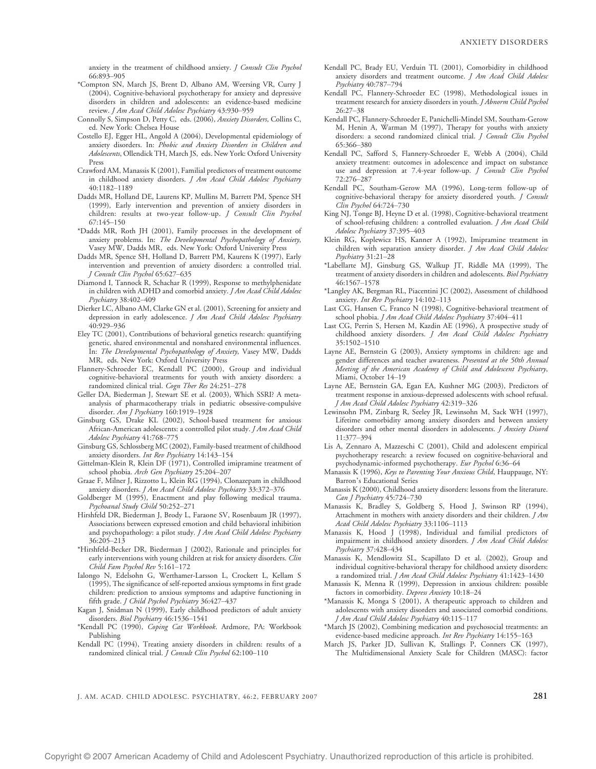anxiety in the treatment of childhood anxiety. J Consult Clin Psychol 66:893-905

- \*Compton SN, March JS, Brent D, Albano AM, Weersing VR, Curry J (2004), Cognitive-behavioral psychotherapy for anxiety and depressive disorders in children and adolescents: an evidence-based medicine review. J Am Acad Child Adolesc Psychiatry 43:930-959
- Connolly S, Simpson D, Petty C, eds. (2006), Anxiety Disorders, Collins C, ed. New York: Chelsea House
- Costello EJ, Egger HL, Angold A (2004), Developmental epidemiology of anxiety disorders. In: Phobic and Anxiety Disorders in Children and Adolescents, Ollendick TH, March JS, eds. New York: Oxford University Press
- Crawford AM, Manassis K (2001), Familial predictors of treatment outcome in childhood anxiety disorders. J Am Acad Child Adolesc Psychiatry 40:1182-1189
- Dadds MR, Holland DE, Laurens KP, Mullins M, Barrett PM, Spence SH (1999), Early intervention and prevention of anxiety disorders in children: results at two-year follow-up. J Consult Clin Psychol 67:145-150
- \*Dadds MR, Roth JH (2001), Family processes in the development of anxiety problems. In: The Developmental Psychopathology of Anxiety, Vasey MW, Dadds MR, eds. New York: Oxford University Press
- Dadds MR, Spence SH, Holland D, Barrett PM, Kaurens K (1997), Early intervention and prevention of anxiety disorders: a controlled trial. J Consult Clin Psychol 65:627-635
- Diamond I, Tannock R, Schachar R (1999), Response to methylphenidate in children with ADHD and comorbid anxiety. J Am Acad Child Adolesc Psychiatry 38:402-409
- Dierker LC, Albano AM, Clarke GN et al. (2001), Screening for anxiety and depression in early adolescence. J Am Acad Child Adolesc Psychiatry 40:929-936
- Eley TC (2001), Contributions of behavioral genetics research: quantifying genetic, shared environmental and nonshared environmental influences. In: The Developmental Psychopathology of Anxiety, Vasey MW, Dadds MR, eds. New York: Oxford University Press
- Flannery-Schroeder EC, Kendall PC (2000), Group and individual cognitive-behavioral treatments for youth with anxiety disorders: a randomized clinical trial. Cogn Ther Res 24:251-278
- Geller DA, Biederman J, Stewart SE et al. (2003), Which SSRI? A metaanalysis of pharmacotherapy trials in pediatric obsessive-compulsive disorder. Am J Psychiatry 160:1919-1928
- Ginsburg GS, Drake KL (2002), School-based treatment for anxious African-American adolescents: a controlled pilot study. *J Am Acad Child* Adolesc Psychiatry 41:768-775
- Ginsburg GS, Schlossberg MC (2002), Family-based treatment of childhood anxiety disorders. Int Rev Psychiatry 14:143-154
- Gittelman-Klein R, Klein DF (1971), Controlled imipramine treatment of school phobia. Arch Gen Psychiatry 25:204-207
- Graae F, Milner J, Rizzotto L, Klein RG (1994), Clonazepam in childhood anxiety disorders. J Am Acad Child Adolesc Psychiatry 33:372-376
- Goldberger M (1995), Enactment and play following medical trauma. Psychoanal Study Child 50:252-271
- Hirshfeld DR, Biederman J, Brody L, Faraone SV, Rosenbaum JR (1997), Associations between expressed emotion and child behavioral inhibition and psychopathology: a pilot study. J Am Acad Child Adolesc Psychiatry 36:205-213
- \*Hirshfeld-Becker DR, Biederman J (2002), Rationale and principles for early interventions with young children at risk for anxiety disorders. Clin Child Fam Psychol Rev 5:161-172
- Ialongo N, Edelsohn G, Werthamer-Larsson L, Crockett L, Kellam S (1995), The significance of self-reported anxious symptoms in first grade children: prediction to anxious symptoms and adaptive functioning in fifth grade. J Child Psychol Psychiatry 36:427-437
- Kagan J, Snidman N (1999), Early childhood predictors of adult anxiety disorders. Biol Psychiatry 46:1536-1541
- \*Kendall PC (1990), Coping Cat Workbook. Ardmore, PA: Workbook Publishing
- Kendall PC (1994), Treating anxiety disorders in children: results of a randomized clinical trial. J Consult Clin Psychol 62:100-110
- Kendall PC, Brady EU, Verduin TL (2001), Comorbidity in childhood anxiety disorders and treatment outcome. J Am Acad Child Adolesc Psychiatry 40:787-794
- Kendall PC, Flannery-Schroeder EC (1998), Methodological issues in treatment research for anxiety disorders in youth. *J Abnorm Child Psychol*  $26:27 - 38$
- Kendall PC, Flannery-Schroeder E, Panichelli-Mindel SM, Southam-Gerow M, Henin A, Warman M (1997), Therapy for youths with anxiety disorders: a second randomized clinical trial. J Consult Clin Psychol 65:366-380
- Kendall PC, Safford S, Flannery-Schroeder E, Webb A (2004), Child anxiety treatment: outcomes in adolescence and impact on substance use and depression at 7.4-year follow-up. *J Consult Clin Psychol* 72:276-287
- Kendall PC, Southam-Gerow MA (1996), Long-term follow-up of cognitive-behavioral therapy for anxiety disordered youth. *J Consult* Clin Psychol 64:724-730
- King NJ, Tonge BJ, Heyne D et al. (1998), Cognitive-behavioral treatment of school-refusing children: a controlled evaluation. J Am Acad Child Adolesc Psychiatry 37:395-403
- Klein RG, Koplewicz HS, Kanner A (1992), Imipramine treatment in children with separation anxiety disorder. J Am Acad Child Adolesc  $P<sub>svchi</sub>atry 31:21–28$
- \*Labellarte MJ, Ginsburg GS, Walkup JT, Riddle MA (1999), The treatment of anxiety disorders in children and adolescents. Biol Psychiatry 46:1567-1578
- \*Langley AK, Bergman RL, Piacentini JC (2002), Assessment of childhood anxiety. Int Rev Psychiatry 14:102-113
- Last CG, Hansen C, Franco N (1998), Cognitive-behavioral treatment of school phobia. J Am Acad Child Adolesc Psychiatry 37:404-411
- Last CG, Perrin S, Hersen M, Kazdin AE (1996), A prospective study of childhood anxiety disorders. J Am Acad Child Adolesc Psychiatry 35:1502-1510
- Layne AE, Bernstein G (2003), Anxiety symptoms in children: age and gender differences and teacher awareness. Presented at the 50th Annual Meeting of the American Academy of Child and Adolescent Psychiatry, Miami, October 14-19
- Layne AE, Bernstein GA, Egan EA, Kushner MG (2003), Predictors of treatment response in anxious-depressed adolescents with school refusal. J Am Acad Child Adolesc Psychiatry 42:319-326
- Lewinsohn PM, Zinbarg R, Seeley JR, Lewinsohn M, Sack WH (1997), Lifetime comorbidity among anxiety disorders and between anxiety disorders and other mental disorders in adolescents. J Anxiety Disord 11:377-394
- Lis A, Zennaro A, Mazzeschi C (2001), Child and adolescent empirical psychotherapy research: a review focused on cognitive-behavioral and psychodynamic-informed psychotherapy. Eur Psychol 6:36-64
- Manassis K (1996), Keys to Parenting Your Anxious Child, Hauppauge, NY: Barron's Educational Series
- Manassis K (2000), Childhood anxiety disorders: lessons from the literature. Can J Psychiatry 45:724-730
- Manassis K, Bradley S, Goldberg S, Hood J, Swinson RP (1994), Attachment in mothers with anxiety disorders and their children. *J Am* Acad Child Adolesc Psychiatry 33:1106-1113
- Manassis K, Hood J (1998), Individual and familial predictors of impairment in childhood anxiety disorders. J Am Acad Child Adolesc Psychiatry 37:428–434
- Manassis K, Mendlowitz SL, Scapillato D et al. (2002), Group and individual cognitive-behavioral therapy for childhood anxiety disorders: a randomized trial. J Am Acad Child Adolesc Psychiatry 41:1423-1430
- Manassis K, Menna R (1999), Depression in anxious children: possible factors in comorbidity. Depress Anxiety 10:18-24
- \*Manassis K, Monga S (2001), A therapeutic approach to children and adolescents with anxiety disorders and associated comorbid conditions. J Am Acad Child Adolesc Psychiatry 40:115-117
- \*March JS (2002), Combining medication and psychosocial treatments: an evidence-based medicine approach. Int Rev Psychiatry 14:155-163
- March JS, Parker JD, Sullivan K, Stallings P, Conners CK (1997), The Multidimensional Anxiety Scale for Children (MASC): factor

J. AM. ACAD. CHILD ADOLESC. PSYCHIATRY, 46:2, FEBRUARY 2007 281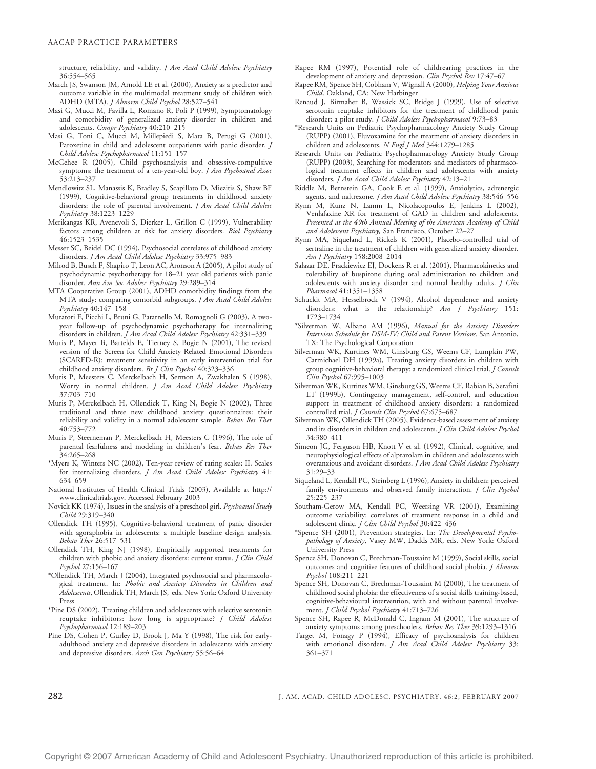structure, reliability, and validity. J Am Acad Child Adolesc Psychiatry 36:554-565

- March JS, Swanson JM, Arnold LE et al. (2000), Anxiety as a predictor and outcome variable in the multimodal treatment study of children with ADHD (MTA). J Abnorm Child Psychol 28:527-541
- Masi G, Mucci M, Favilla L, Romano R, Poli P (1999), Symptomatology and comorbidity of generalized anxiety disorder in children and adolescents. Compr Psychiatry 40:210-215
- Masi G, Toni C, Mucci M, Millepiedi S, Mata B, Perugi G (2001), Paroxetine in child and adolescent outpatients with panic disorder. J Child Adolesc Psychopharmacol 11:151-157
- McGehee R (2005), Child psychoanalysis and obsessive-compulsive symptoms: the treatment of a ten-year-old boy. *J Am Psychoanal Assoc* 53:213-237
- Mendlowitz SL, Manassis K, Bradley S, Scapillato D, Miezitis S, Shaw BF (1999), Cognitive-behavioral group treatments in childhood anxiety disorders: the role of parental involvement. J Am Acad Child Adolesc Psychiatry 38:1223-1229
- Merikangas KR, Avenevoli S, Dierker L, Grillon C (1999), Vulnerability factors among children at risk for anxiety disorders. Biol Psychiatry 46:1523-1535
- Messer SC, Beidel DC (1994), Psychosocial correlates of childhood anxiety disorders. J Am Acad Child Adolesc Psychiatry 33:975-983
- Milrod B, Busch F, Shapiro T, Leon AC, Aronson A (2005), A pilot study of psychodynamic psychotherapy for 18-21 year old patients with panic disorder. Ann Am Soc Adolesc Psychiatry 29:289-314
- MTA Cooperative Group (2001), ADHD comorbidity findings from the MTA study: comparing comorbid subgroups. J Am Acad Child Adolesc Psychiatry 40:147-158
- Muratori F, Picchi L, Bruni G, Patarnello M, Romagnoli G (2003), A twoyear follow-up of psychodynamic psychotherapy for internalizing disorders in children. *J Am Acad Child Adolesc Psychiatry* 42:331–339
- Muris P, Mayer B, Bartelds E, Tierney S, Bogie N (2001), The revised version of the Screen for Child Anxiety Related Emotional Disorders (SCARED-R): treatment sensitivity in an early intervention trial for childhood anxiety disorders. Br J Clin Psychol 40:323-336
- Muris P, Meesters C, Merckelbach H, Sermon A, Zwakhalen S (1998), Worry in normal children. J Am Acad Child Adolesc Psychiatry 37:703-710
- Muris P, Merckelbach H, Ollendick T, King N, Bogie N (2002), Three traditional and three new childhood anxiety questionnaires: their reliability and validity in a normal adolescent sample. Behav Res Ther  $40.753 - 772$
- Muris P, Steerneman P, Merckelbach H, Meesters C (1996), The role of parental fearfulness and modeling in children's fear. Behav Res Ther 34:265-268
- \*Myers K, Winters NC (2002), Ten-year review of rating scales: II. Scales for internalizing disorders. J Am Acad Child Adolesc Psychiatry 41: 634-659
- National Institutes of Health Clinical Trials (2003), Available at http:// www.clinicaltrials.gov. Accessed February 2003
- Novick KK (1974), Issues in the analysis of a preschool girl. Psychoanal Study Child 29:319-340
- Ollendick TH (1995), Cognitive-behavioral treatment of panic disorder with agoraphobia in adolescents: a multiple baseline design analysis. Behav Ther 26:517-531
- Ollendick TH, King NJ (1998), Empirically supported treatments for children with phobic and anxiety disorders: current status. J Clin Child Psychol 27:156-167
- \*Ollendick TH, March J (2004), Integrated psychosocial and pharmacological treatment. In: Phobic and Anxiety Disorders in Children and Adolescents, Ollendick TH, March JS, eds. New York: Oxford University Press
- \*Pine DS (2002), Treating children and adolescents with selective serotonin reuptake inhibitors: how long is appropriate? J Child Adolesc Psychopharmacol 12:189-203
- Pine DS, Cohen P, Gurley D, Brook J, Ma Y (1998), The risk for earlyadulthood anxiety and depressive disorders in adolescents with anxiety and depressive disorders. Arch Gen Psychiatry 55:56-64
- Rapee RM (1997), Potential role of childrearing practices in the development of anxiety and depression. Clin Psychol Rev 17:47-67
- Rapee RM, Spence SH, Cobham V, Wignall A (2000), Helping Your Anxious Child. Oakland, CA: New Harbinger
- Renaud J, Birmaher B, Wassick SC, Bridge J (1999), Use of selective serotonin reuptake inhibitors for the treatment of childhood panic disorder: a pilot study. J Child Adolesc Psychopharmacol 9:73-83
- \*Research Units on Pediatric Psychopharmacology Anxiety Study Group (RUPP) (2001), Fluvoxamine for the treatment of anxiety disorders in children and adolescents. N Engl J Med 344:1279-1285
- Research Units on Pediatric Psychopharmacology Anxiety Study Group (RUPP) (2003), Searching for moderators and mediators of pharmacological treatment effects in children and adolescents with anxiety disorders. J Am Acad Child Adolesc Psychiatry 42:13-21
- Riddle M, Bernstein GA, Cook E et al. (1999), Anxiolytics, adrenergic agents, and naltrexone. J Am Acad Child Adolesc Psychiatry 38:546-556
- Rynn M, Kunz N, Lamm L, Nicolacopoulos E, Jenkins L (2002), Venlafaxine XR for treatment of GAD in children and adolescents. Presented at the 49th Annual Meeting of the American Academy of Child and Adolescent Psychiatry, San Francisco, October 22-27
- Rynn MA, Siqueland L, Rickels K (2001), Placebo-controlled trial of sertraline in the treatment of children with generalized anxiety disorder. Am I Psychiatry 158:2008-2014
- Salazar DE, Frackiewicz EJ, Dockens R et al. (2001), Pharmacokinetics and tolerability of buspirone during oral administration to children and adolescents with anxiety disorder and normal healthy adults. *J Clin* Pharmacol 41:1351-1358
- Schuckit MA, Hesselbrock V (1994), Alcohol dependence and anxiety disorders: what is the relationship? Am J Psychiatry 151: 1723-1734
- \*Silverman W, Albano AM (1996), Manual for the Anxiety Disorders Interview Schedule for DSM-IV: Child and Parent Versions. San Antonio, TX: The Psychological Corporation
- Silverman WK, Kurtines WM, Ginsburg GS, Weems CF, Lumpkin PW, Carmichael DH (1999a), Treating anxiety disorders in children with group cognitive-behavioral therapy: a randomized clinical trial. *J Consult*  $Clin$  Psychol 67:995-1003
- Silverman WK, Kurtines WM, Ginsburg GS, Weems CF, Rabian B, Serafini LT (1999b), Contingency management, self-control, and education support in treatment of childhood anxiety disorders: a randomized controlled trial. J Consult Clin Psychol 67:675-687
- Silverman WK, Ollendick TH (2005), Evidence-based assessment of anxiety and its disorders in children and adolescents. J Clin Child Adolesc Psychol 34:380-411
- Simeon JG, Ferguson HB, Knott V et al. (1992), Clinical, cognitive, and neurophysiological effects of alprazolam in children and adolescents with overanxious and avoidant disorders. J Am Acad Child Adolesc Psychiatry  $31:29 - 33$
- Siqueland L, Kendall PC, Steinberg L (1996), Anxiety in children: perceived family environments and observed family interaction. J Clin Psychol 25:225-237
- Southam-Gerow MA, Kendall PC, Weersing VR (2001), Examining outcome variability: correlates of treatment response in a child and adolescent clinic. J Clin Child Psychol 30:422-436
- \*Spence SH (2001), Prevention strategies. In: The Developmental Psychopathology of Anxiety, Vasey MW, Dadds MR, eds. New York: Oxford University Press
- Spence SH, Donovan C, Brechman-Toussaint M (1999), Social skills, social outcomes and cognitive features of childhood social phobia. *J Abnorm*  $P<sub>svchol</sub> 108:211–221$
- Spence SH, Donovan C, Brechman-Toussaint M (2000), The treatment of childhood social phobia: the effectiveness of a social skills training-based, cognitive-behavioural intervention, with and without parental involvement. J Child Psychol Psychiatry 41:713-726
- Spence SH, Rapee R, McDonald C, Ingram M (2001), The structure of anxiety symptoms among preschoolers. Behav Res Ther 39:1293-1316
- Target M, Fonagy P (1994), Efficacy of psychoanalysis for children with emotional disorders. J Am Acad Child Adolesc Psychiatry 33: 361-371

282 J. AM. ACAD. CHILD ADOLESC. PSYCHIATRY, 46:2, FEBRUARY 2007